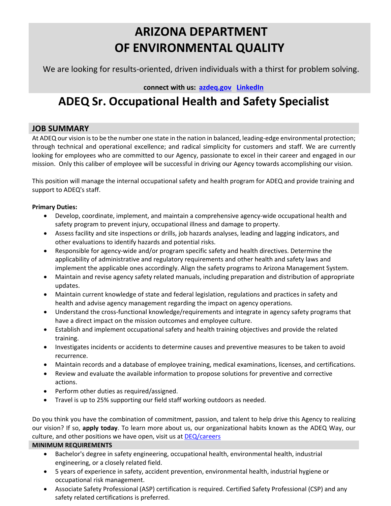# **ARIZONA DEPARTMENT OF ENVIRONMENTAL QUALITY**

We are looking for results-oriented, driven individuals with a thirst for problem solving.

 **connect with us: [azdeq.gov](http://www.azdeq.gov/) [LinkedIn](https://www.linkedin.com/company/arizona-department-of-environmental-quality)**

## **ADEQ Sr. Occupational Health and Safety Specialist**

## **JOB SUMMARY**

At ADEQ our vision is to be the number one state in the nation in balanced, leading-edge environmental protection; through technical and operational excellence; and radical simplicity for customers and staff. We are currently looking for employees who are committed to our Agency, passionate to excel in their career and engaged in our mission. Only this caliber of employee will be successful in driving our Agency towards accomplishing our vision.

This position will manage the internal occupational safety and health program for ADEQ and provide training and support to ADEQ's staff.

### **Primary Duties:**

- Develop, coordinate, implement, and maintain a comprehensive agency-wide occupational health and safety program to prevent injury, occupational illness and damage to property.
- Assess facility and site inspections or drills, job hazards analyses, leading and lagging indicators, and other evaluations to identify hazards and potential risks.
- Responsible for agency-wide and/or program specific safety and health directives. Determine the applicability of administrative and regulatory requirements and other health and safety laws and implement the applicable ones accordingly. Align the safety programs to Arizona Management System.
- Maintain and revise agency safety related manuals, including preparation and distribution of appropriate updates.
- Maintain current knowledge of state and federal legislation, regulations and practices in safety and health and advise agency management regarding the impact on agency operations.
- Understand the cross-functional knowledge/requirements and integrate in agency safety programs that have a direct impact on the mission outcomes and employee culture.
- Establish and implement occupational safety and health training objectives and provide the related training.
- Investigates incidents or accidents to determine causes and preventive measures to be taken to avoid recurrence.
- Maintain records and a database of employee training, medical examinations, licenses, and certifications.
- Review and evaluate the available information to propose solutions for preventive and corrective actions.
- Perform other duties as required/assigned.
- Travel is up to 25% supporting our field staff working outdoors as needed.

Do you think you have the combination of commitment, passion, and talent to help drive this Agency to realizing our vision? If so, **apply today**. To learn more about us, our organizational habits known as the ADEQ Way, our culture, and other positions we have open, visit us at [DEQ/careers](https://azdeq.gov/careers)

#### **MINIMUM REQUIREMENTS**

- Bachelor's degree in safety engineering, occupational health, environmental health, industrial engineering, or a closely related field.
- 5 years of experience in safety, accident prevention, environmental health, industrial hygiene or occupational risk management.
- Associate Safety Professional (ASP) certification is required. Certified Safety Professional (CSP) and any safety related certifications is preferred.